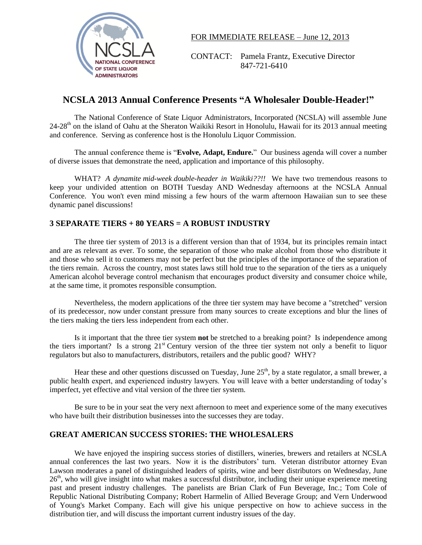

FOR IMMEDIATE RELEASE – June 12, 2013

CONTACT: Pamela Frantz, Executive Director NATIONAL CONFERENCE<br>
OF STATE LIQUOR

SAT-721-6410

## **NCSLA 2013 Annual Conference Presents "A Wholesaler Double-Header!"**

The National Conference of State Liquor Administrators, Incorporated (NCSLA) will assemble June  $24-28<sup>th</sup>$  on the island of Oahu at the Sheraton Waikiki Resort in Honolulu, Hawaii for its 2013 annual meeting and conference. Serving as conference host is the Honolulu Liquor Commission.

The annual conference theme is "**Evolve, Adapt, Endure.**" Our business agenda will cover a number of diverse issues that demonstrate the need, application and importance of this philosophy.

WHAT? *A dynamite mid-week double-header in Waikiki??!!* We have two tremendous reasons to keep your undivided attention on BOTH Tuesday AND Wednesday afternoons at the NCSLA Annual Conference. You won't even mind missing a few hours of the warm afternoon Hawaiian sun to see these dynamic panel discussions!

## **3 SEPARATE TIERS + 80 YEARS = A ROBUST INDUSTRY**

 The three tier system of 2013 is a different version than that of 1934, but its principles remain intact and are as relevant as ever. To some, the separation of those who make alcohol from those who distribute it and those who sell it to customers may not be perfect but the principles of the importance of the separation of the tiers remain. Across the country, most states laws still hold true to the separation of the tiers as a uniquely American alcohol beverage control mechanism that encourages product diversity and consumer choice while, at the same time, it promotes responsible consumption.

Nevertheless, the modern applications of the three tier system may have become a "stretched" version of its predecessor, now under constant pressure from many sources to create exceptions and blur the lines of the tiers making the tiers less independent from each other.

Is it important that the three tier system **not** be stretched to a breaking point? Is independence among the tiers important? Is a strong  $21<sup>st</sup>$  Century version of the three tier system not only a benefit to liquor regulators but also to manufacturers, distributors, retailers and the public good? WHY?

Hear these and other questions discussed on Tuesday, June  $25<sup>th</sup>$ , by a state regulator, a small brewer, a public health expert, and experienced industry lawyers. You will leave with a better understanding of today's imperfect, yet effective and vital version of the three tier system.

Be sure to be in your seat the very next afternoon to meet and experience some of the many executives who have built their distribution businesses into the successes they are today.

## **GREAT AMERICAN SUCCESS STORIES: THE WHOLESALERS**

We have enjoyed the inspiring success stories of distillers, wineries, brewers and retailers at NCSLA annual conferences the last two years. Now it is the distributors' turn. Veteran distributor attorney Evan Lawson moderates a panel of distinguished leaders of spirits, wine and beer distributors on Wednesday, June  $26<sup>th</sup>$ , who will give insight into what makes a successful distributor, including their unique experience meeting past and present industry challenges. The panelists are Brian Clark of Fun Beverage, Inc.; Tom Cole of Republic National Distributing Company; Robert Harmelin of Allied Beverage Group; and Vern Underwood of Young's Market Company. Each will give his unique perspective on how to achieve success in the distribution tier, and will discuss the important current industry issues of the day.